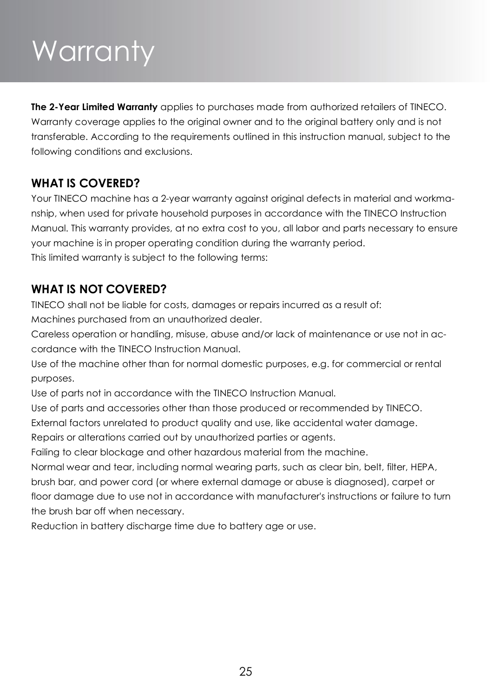# Warranty

**The 2-Year Limited Warranty** applies to purchases made from authorized retailers of TINECO. Warranty coverage applies to the original owner and to the original battery only and is not transferable. According to the requirements outlined in this instruction manual, subject to the following conditions and exclusions.

### **WHAT IS COVERED?**

Your TINECO machine has a 2-year warranty against original defects in material and workmanship, when used for private household purposes in accordance with the TINECO Instruction Manual. This warranty provides, at no extra cost to you, all labor and parts necessary to ensure your machine is in proper operating condition during the warranty period. This limited warranty is subject to the following terms:

### **WHAT IS NOT COVERED?**

TINECO shall not be liable for costs, damages or repairs incurred as a result of:

Machines purchased from an unauthorized dealer.

Careless operation or handling, misuse, abuse and/or lack of maintenance or use not in accordance with the TINECO Instruction Manual.

Use of the machine other than for normal domestic purposes, e.g. for commercial or rental purposes.

Use of parts not in accordance with the TINECO Instruction Manual.

Use of parts and accessories other than those produced or recommended by TINECO.

External factors unrelated to product quality and use, like accidental water damage.

Repairs or alterations carried out by unauthorized parties or agents.

Failing to clear blockage and other hazardous material from the machine.

Normal wear and tear, including normal wearing parts, such as clear bin, belt, filter, HEPA, brush bar, and power cord (or where external damage or abuse is diagnosed), carpet or floor damage due to use not in accordance with manufacturer's instructions or failure to turn the brush bar off when necessary.

Reduction in battery discharge time due to battery age or use.